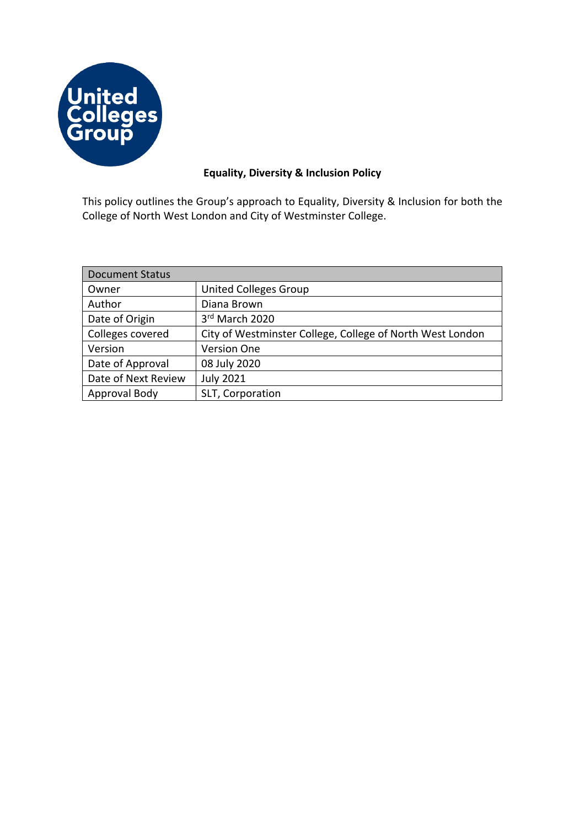

# **Equality, Diversity & Inclusion Policy**

This policy outlines the Group's approach to Equality, Diversity & Inclusion for both the College of North West London and City of Westminster College.

| <b>Document Status</b> |                                                           |
|------------------------|-----------------------------------------------------------|
| Owner                  | <b>United Colleges Group</b>                              |
| Author                 | Diana Brown                                               |
| Date of Origin         | 3rd March 2020                                            |
| Colleges covered       | City of Westminster College, College of North West London |
| Version                | <b>Version One</b>                                        |
| Date of Approval       | 08 July 2020                                              |
| Date of Next Review    | <b>July 2021</b>                                          |
| Approval Body          | SLT, Corporation                                          |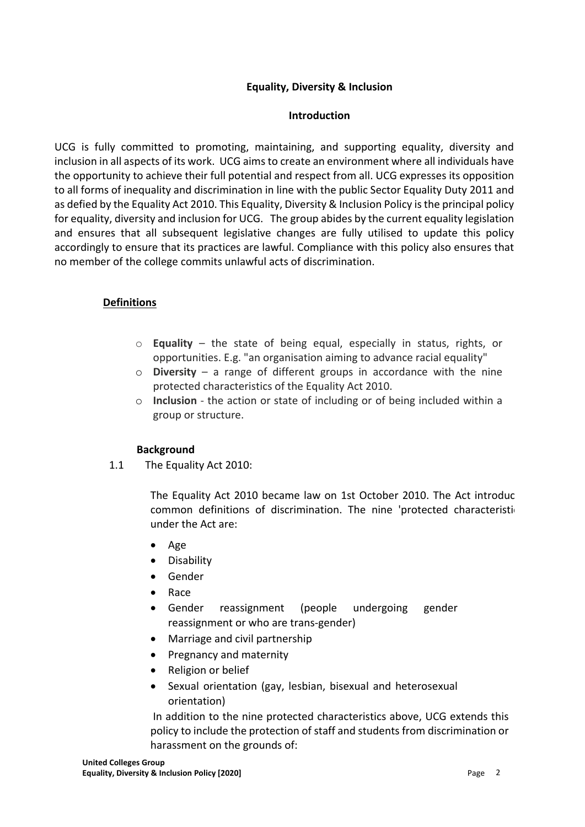### **Equality, Diversity & Inclusion**

#### **Introduction**

UCG is fully committed to promoting, maintaining, and supporting equality, diversity and inclusion in all aspects of its work. UCG aims to create an environment where all individuals have the opportunity to achieve their full potential and respect from all. UCG expresses its opposition to all forms of inequality and discrimination in line with the public Sector Equality Duty 2011 and as defied by the Equality Act 2010. This Equality, Diversity & Inclusion Policy is the principal policy for equality, diversity and inclusion for UCG. The group abides by the current equality legislation and ensures that all subsequent legislative changes are fully utilised to update this policy accordingly to ensure that its practices are lawful. Compliance with this policy also ensures that no member of the college commits unlawful acts of discrimination.

### **Definitions**

- o **Equality** the state of being equal, especially in status, rights, or opportunities. E.g. "an organisation aiming to advance racial equality"
- o **Diversity** a range of different groups in accordance with the nine protected characteristics of the Equality Act 2010.
- o **Inclusion** the action or state of including or of being included within a group or structure.

#### **Background**

1.1 The Equality Act 2010:

The Equality Act 2010 became law on 1st October 2010. The Act introduc common definitions of discrimination. The nine 'protected characteristic under the Act are:

- Age
- Disability
- Gender
- Race
- Gender reassignment (people undergoing gender reassignment or who are trans-gender)
- Marriage and civil partnership
- Pregnancy and maternity
- Religion or belief
- Sexual orientation (gay, lesbian, bisexual and heterosexual orientation)

In addition to the nine protected characteristics above, UCG extends this policy to include the protection of staff and students from discrimination or harassment on the grounds of: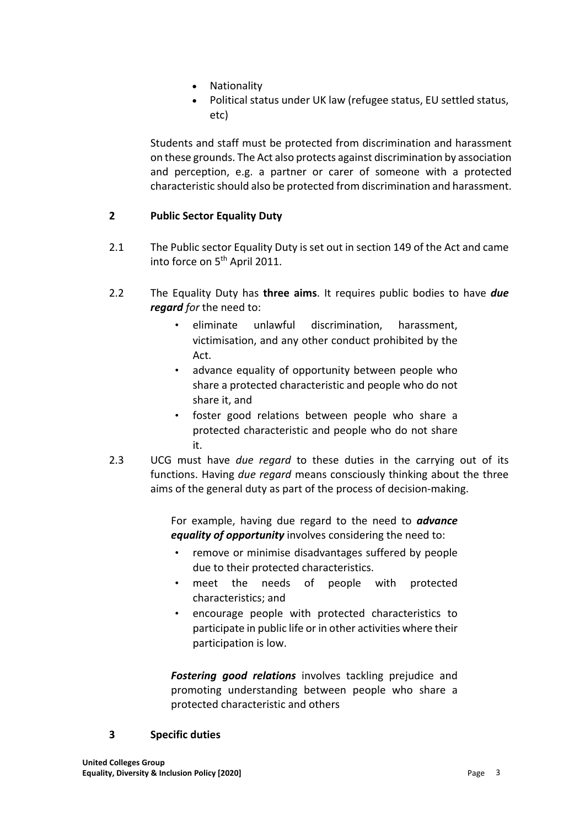- **Nationality**
- Political status under UK law (refugee status, EU settled status, etc)

Students and staff must be protected from discrimination and harassment on these grounds. The Act also protects against discrimination by association and perception, e.g. a partner or carer of someone with a protected characteristic should also be protected from discrimination and harassment.

## **2 Public Sector Equality Duty**

- 2.1 The Public sector Equality Duty is set out in section 149 of the Act and came into force on 5<sup>th</sup> April 2011.
- 2.2 The Equality Duty has **three aims**. It requires public bodies to have *due regard for* the need to:
	- eliminate unlawful discrimination, harassment, victimisation, and any other conduct prohibited by the Act.
	- advance equality of opportunity between people who share a protected characteristic and people who do not share it, and
	- foster good relations between people who share a protected characteristic and people who do not share it.
- 2.3 UCG must have *due regard* to these duties in the carrying out of its functions. Having *due regard* means consciously thinking about the three aims of the general duty as part of the process of decision-making.

For example, having due regard to the need to *advance equality of opportunity* involves considering the need to:

- remove or minimise disadvantages suffered by people due to their protected characteristics.
- meet the needs of people with protected characteristics; and
- encourage people with protected characteristics to participate in public life or in other activities where their participation is low.

*Fostering good relations* involves tackling prejudice and promoting understanding between people who share a protected characteristic and others

#### **3 Specific duties**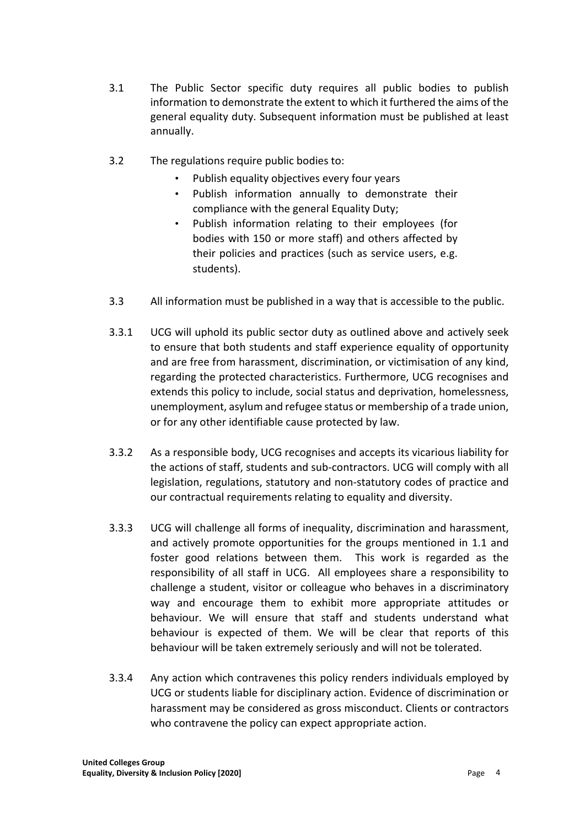- 3.1 The Public Sector specific duty requires all public bodies to publish information to demonstrate the extent to which it furthered the aims of the general equality duty. Subsequent information must be published at least annually.
- 3.2 The regulations require public bodies to:
	- Publish equality objectives every four years
	- Publish information annually to demonstrate their compliance with the general Equality Duty;
	- Publish information relating to their employees (for bodies with 150 or more staff) and others affected by their policies and practices (such as service users, e.g. students).
- 3.3 All information must be published in a way that is accessible to the public.
- 3.3.1 UCG will uphold its public sector duty as outlined above and actively seek to ensure that both students and staff experience equality of opportunity and are free from harassment, discrimination, or victimisation of any kind, regarding the protected characteristics. Furthermore, UCG recognises and extends this policy to include, social status and deprivation, homelessness, unemployment, asylum and refugee status or membership of a trade union, or for any other identifiable cause protected by law.
- 3.3.2 As a responsible body, UCG recognises and accepts its vicarious liability for the actions of staff, students and sub-contractors. UCG will comply with all legislation, regulations, statutory and non-statutory codes of practice and our contractual requirements relating to equality and diversity.
- 3.3.3 UCG will challenge all forms of inequality, discrimination and harassment, and actively promote opportunities for the groups mentioned in 1.1 and foster good relations between them. This work is regarded as the responsibility of all staff in UCG. All employees share a responsibility to challenge a student, visitor or colleague who behaves in a discriminatory way and encourage them to exhibit more appropriate attitudes or behaviour. We will ensure that staff and students understand what behaviour is expected of them. We will be clear that reports of this behaviour will be taken extremely seriously and will not be tolerated.
- 3.3.4 Any action which contravenes this policy renders individuals employed by UCG or students liable for disciplinary action. Evidence of discrimination or harassment may be considered as gross misconduct. Clients or contractors who contravene the policy can expect appropriate action.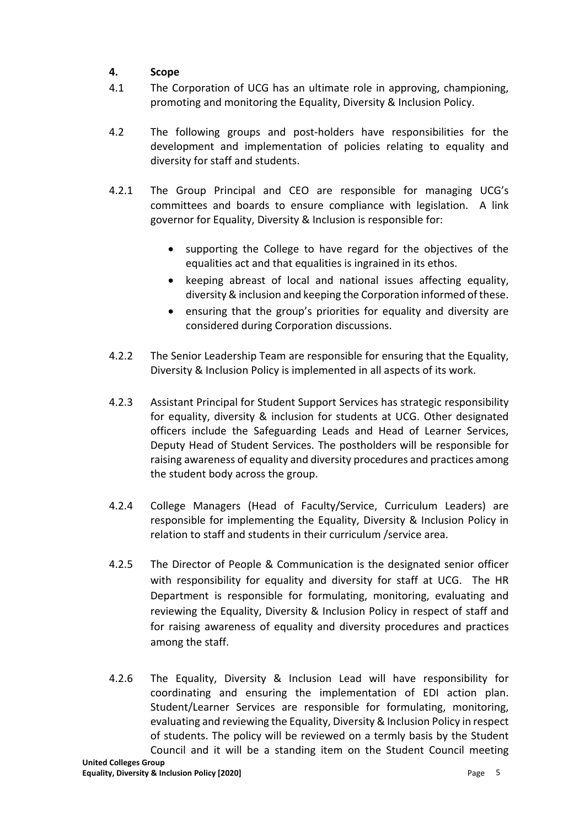# **4. Scope**

- 4.1 The Corporation of UCG has an ultimate role in approving, championing, promoting and monitoring the Equality, Diversity & Inclusion Policy.
- 4.2 The following groups and post-holders have responsibilities for the development and implementation of policies relating to equality and diversity for staff and students.
- 4.2.1 The Group Principal and CEO are responsible for managing UCG's committees and boards to ensure compliance with legislation. A link governor for Equality, Diversity & Inclusion is responsible for:
	- supporting the College to have regard for the objectives of the equalities act and that equalities is ingrained in its ethos.
	- keeping abreast of local and national issues affecting equality, diversity & inclusion and keeping the Corporation informed of these.
	- ensuring that the group's priorities for equality and diversity are considered during Corporation discussions.
- 4.2.2 The Senior Leadership Team are responsible for ensuring that the Equality, Diversity & Inclusion Policy is implemented in all aspects of its work.
- 4.2.3 Assistant Principal for Student Support Services has strategic responsibility for equality, diversity & inclusion for students at UCG. Other designated officers include the Safeguarding Leads and Head of Learner Services, Deputy Head of Student Services. The postholders will be responsible for raising awareness of equality and diversity procedures and practices among the student body across the group.
- 4.2.4 College Managers (Head of Faculty/Service, Curriculum Leaders) are responsible for implementing the Equality, Diversity & Inclusion Policy in relation to staff and students in their curriculum /service area.
- 4.2.5 The Director of People & Communication is the designated senior officer with responsibility for equality and diversity for staff at UCG. The HR Department is responsible for formulating, monitoring, evaluating and reviewing the Equality, Diversity & Inclusion Policy in respect of staff and for raising awareness of equality and diversity procedures and practices among the staff.
- 4.2.6 The Equality, Diversity & Inclusion Lead will have responsibility for coordinating and ensuring the implementation of EDI action plan. Student/Learner Services are responsible for formulating, monitoring, evaluating and reviewing the Equality, Diversity & Inclusion Policy in respect of students. The policy will be reviewed on a termly basis by the Student Council and it will be a standing item on the Student Council meeting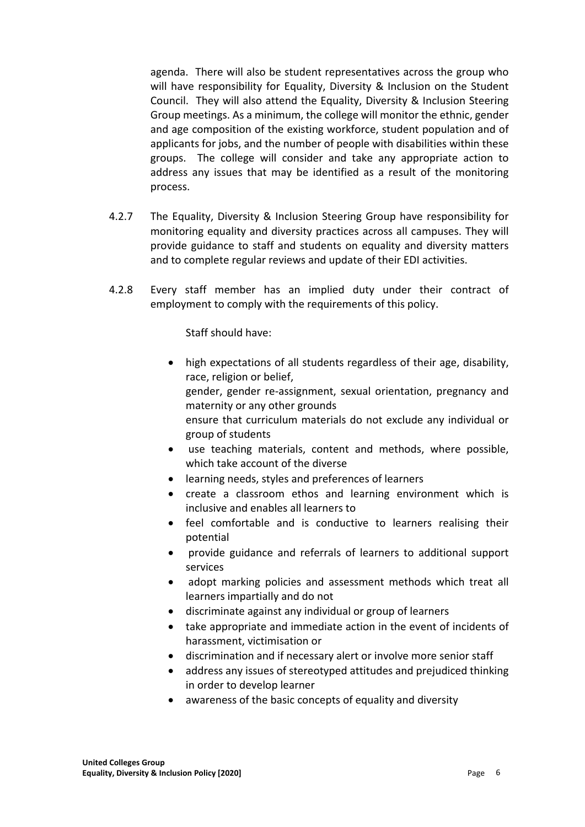agenda. There will also be student representatives across the group who will have responsibility for Equality, Diversity & Inclusion on the Student Council. They will also attend the Equality, Diversity & Inclusion Steering Group meetings. As a minimum, the college will monitor the ethnic, gender and age composition of the existing workforce, student population and of applicants for jobs, and the number of people with disabilities within these groups. The college will consider and take any appropriate action to address any issues that may be identified as a result of the monitoring process.

- 4.2.7 The Equality, Diversity & Inclusion Steering Group have responsibility for monitoring equality and diversity practices across all campuses. They will provide guidance to staff and students on equality and diversity matters and to complete regular reviews and update of their EDI activities.
- 4.2.8 Every staff member has an implied duty under their contract of employment to comply with the requirements of this policy.

Staff should have:

- high expectations of all students regardless of their age, disability, race, religion or belief, gender, gender re-assignment, sexual orientation, pregnancy and maternity or any other grounds ensure that curriculum materials do not exclude any individual or group of students
- use teaching materials, content and methods, where possible, which take account of the diverse
- learning needs, styles and preferences of learners
- create a classroom ethos and learning environment which is inclusive and enables all learners to
- feel comfortable and is conductive to learners realising their potential
- provide guidance and referrals of learners to additional support services
- adopt marking policies and assessment methods which treat all learners impartially and do not
- discriminate against any individual or group of learners
- take appropriate and immediate action in the event of incidents of harassment, victimisation or
- discrimination and if necessary alert or involve more senior staff
- address any issues of stereotyped attitudes and prejudiced thinking in order to develop learner
- awareness of the basic concepts of equality and diversity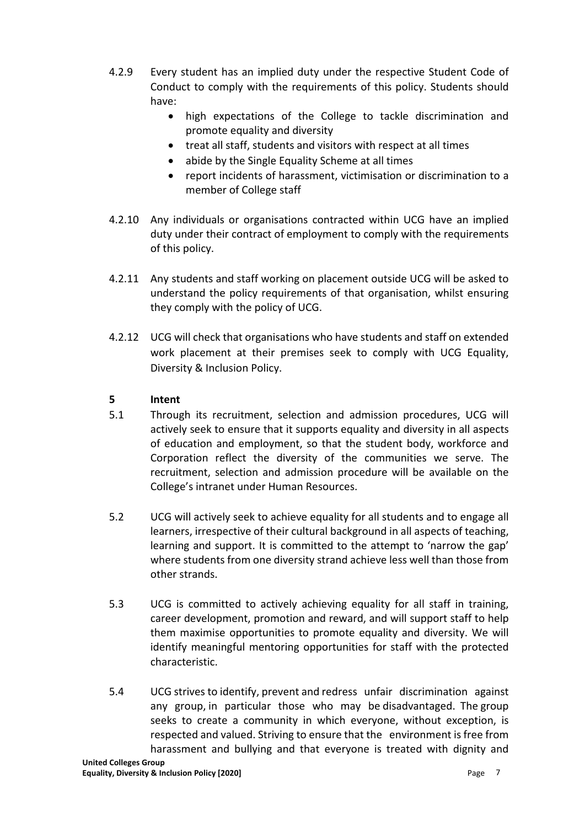- 4.2.9 Every student has an implied duty under the respective Student Code of Conduct to comply with the requirements of this policy. Students should have:
	- high expectations of the College to tackle discrimination and promote equality and diversity
	- treat all staff, students and visitors with respect at all times
	- abide by the Single Equality Scheme at all times
	- report incidents of harassment, victimisation or discrimination to a member of College staff
- 4.2.10 Any individuals or organisations contracted within UCG have an implied duty under their contract of employment to comply with the requirements of this policy.
- 4.2.11 Any students and staff working on placement outside UCG will be asked to understand the policy requirements of that organisation, whilst ensuring they comply with the policy of UCG.
- 4.2.12 UCG will check that organisations who have students and staff on extended work placement at their premises seek to comply with UCG Equality, Diversity & Inclusion Policy.

### **5 Intent**

- 5.1 Through its recruitment, selection and admission procedures, UCG will actively seek to ensure that it supports equality and diversity in all aspects of education and employment, so that the student body, workforce and Corporation reflect the diversity of the communities we serve. The recruitment, selection and admission procedure will be available on the College's intranet under Human Resources.
- 5.2 UCG will actively seek to achieve equality for all students and to engage all learners, irrespective of their cultural background in all aspects of teaching, learning and support. It is committed to the attempt to 'narrow the gap' where students from one diversity strand achieve less well than those from other strands.
- 5.3 UCG is committed to actively achieving equality for all staff in training, career development, promotion and reward, and will support staff to help them maximise opportunities to promote equality and diversity. We will identify meaningful mentoring opportunities for staff with the protected characteristic.
- 5.4 UCG strives to identify, prevent and redress unfair discrimination against any group, in particular those who may be disadvantaged. The group seeks to create a community in which everyone, without exception, is respected and valued. Striving to ensure that the environment is free from harassment and bullying and that everyone is treated with dignity and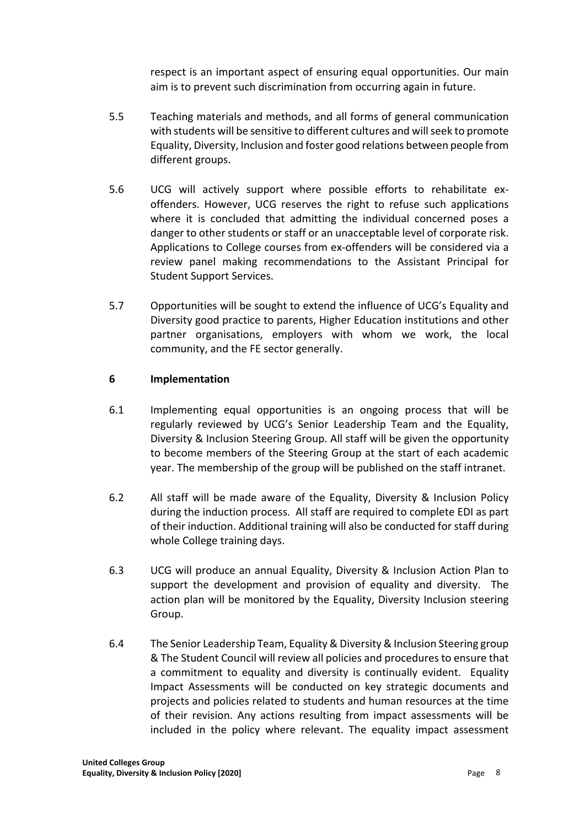respect is an important aspect of ensuring equal opportunities. Our main aim is to prevent such discrimination from occurring again in future.

- 5.5 Teaching materials and methods, and all forms of general communication with students will be sensitive to different cultures and will seek to promote Equality, Diversity, Inclusion and foster good relations between people from different groups.
- 5.6 UCG will actively support where possible efforts to rehabilitate exoffenders. However, UCG reserves the right to refuse such applications where it is concluded that admitting the individual concerned poses a danger to other students or staff or an unacceptable level of corporate risk. Applications to College courses from ex-offenders will be considered via a review panel making recommendations to the Assistant Principal for Student Support Services.
- 5.7 Opportunities will be sought to extend the influence of UCG's Equality and Diversity good practice to parents, Higher Education institutions and other partner organisations, employers with whom we work, the local community, and the FE sector generally.

### **6 Implementation**

- 6.1 Implementing equal opportunities is an ongoing process that will be regularly reviewed by UCG's Senior Leadership Team and the Equality, Diversity & Inclusion Steering Group. All staff will be given the opportunity to become members of the Steering Group at the start of each academic year. The membership of the group will be published on the staff intranet.
- 6.2 All staff will be made aware of the Equality, Diversity & Inclusion Policy during the induction process. All staff are required to complete EDI as part of their induction. Additional training will also be conducted for staff during whole College training days.
- 6.3 UCG will produce an annual Equality, Diversity & Inclusion Action Plan to support the development and provision of equality and diversity. The action plan will be monitored by the Equality, Diversity Inclusion steering Group.
- 6.4 The Senior Leadership Team, Equality & Diversity & Inclusion Steering group & The Student Council will review all policies and procedures to ensure that a commitment to equality and diversity is continually evident. Equality Impact Assessments will be conducted on key strategic documents and projects and policies related to students and human resources at the time of their revision. Any actions resulting from impact assessments will be included in the policy where relevant. The equality impact assessment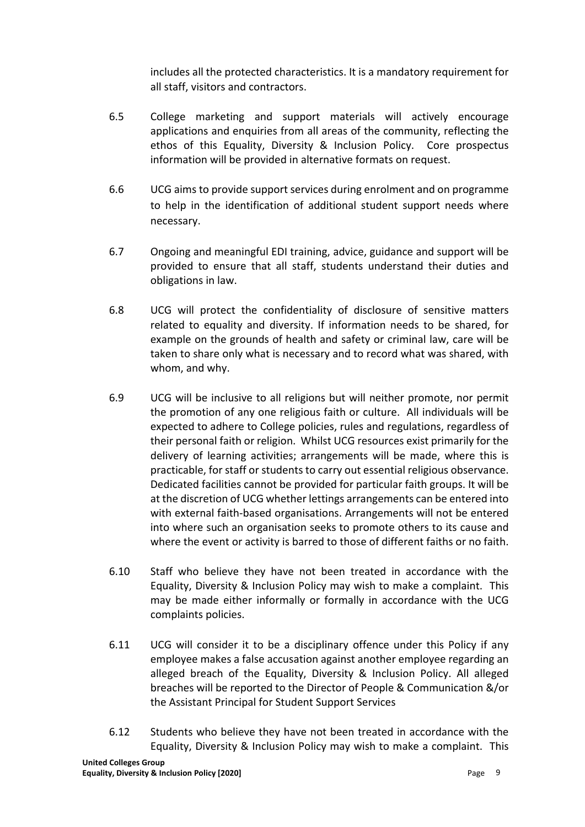includes all the protected characteristics. It is a mandatory requirement for all staff, visitors and contractors.

- 6.5 College marketing and support materials will actively encourage applications and enquiries from all areas of the community, reflecting the ethos of this Equality, Diversity & Inclusion Policy. Core prospectus information will be provided in alternative formats on request.
- 6.6 UCG aims to provide support services during enrolment and on programme to help in the identification of additional student support needs where necessary.
- 6.7 Ongoing and meaningful EDI training, advice, guidance and support will be provided to ensure that all staff, students understand their duties and obligations in law.
- 6.8 UCG will protect the confidentiality of disclosure of sensitive matters related to equality and diversity. If information needs to be shared, for example on the grounds of health and safety or criminal law, care will be taken to share only what is necessary and to record what was shared, with whom, and why.
- 6.9 UCG will be inclusive to all religions but will neither promote, nor permit the promotion of any one religious faith or culture. All individuals will be expected to adhere to College policies, rules and regulations, regardless of their personal faith or religion. Whilst UCG resources exist primarily for the delivery of learning activities; arrangements will be made, where this is practicable, for staff or students to carry out essential religious observance. Dedicated facilities cannot be provided for particular faith groups. It will be at the discretion of UCG whether lettings arrangements can be entered into with external faith-based organisations. Arrangements will not be entered into where such an organisation seeks to promote others to its cause and where the event or activity is barred to those of different faiths or no faith.
- 6.10 Staff who believe they have not been treated in accordance with the Equality, Diversity & Inclusion Policy may wish to make a complaint. This may be made either informally or formally in accordance with the UCG complaints policies.
- 6.11 UCG will consider it to be a disciplinary offence under this Policy if any employee makes a false accusation against another employee regarding an alleged breach of the Equality, Diversity & Inclusion Policy. All alleged breaches will be reported to the Director of People & Communication &/or the Assistant Principal for Student Support Services
- 6.12 Students who believe they have not been treated in accordance with the Equality, Diversity & Inclusion Policy may wish to make a complaint. This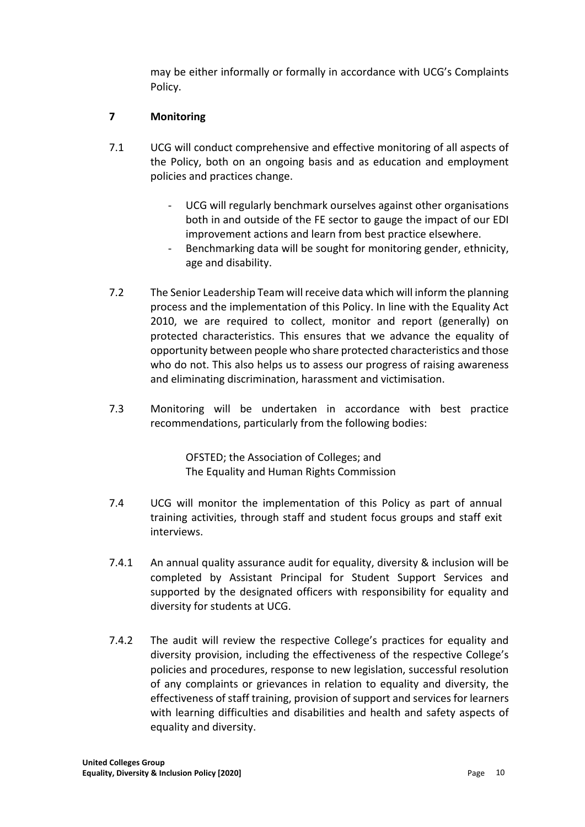may be either informally or formally in accordance with UCG's Complaints Policy.

# **7 Monitoring**

- 7.1 UCG will conduct comprehensive and effective monitoring of all aspects of the Policy, both on an ongoing basis and as education and employment policies and practices change.
	- UCG will regularly benchmark ourselves against other organisations both in and outside of the FE sector to gauge the impact of our EDI improvement actions and learn from best practice elsewhere.
	- Benchmarking data will be sought for monitoring gender, ethnicity, age and disability.
- 7.2 The Senior Leadership Team will receive data which will inform the planning process and the implementation of this Policy. In line with the Equality Act 2010, we are required to collect, monitor and report (generally) on protected characteristics. This ensures that we advance the equality of opportunity between people who share protected characteristics and those who do not. This also helps us to assess our progress of raising awareness and eliminating discrimination, harassment and victimisation.
- 7.3 Monitoring will be undertaken in accordance with best practice recommendations, particularly from the following bodies:

OFSTED; the Association of Colleges; and The Equality and Human Rights Commission

- 7.4 UCG will monitor the implementation of this Policy as part of annual training activities, through staff and student focus groups and staff exit interviews.
- 7.4.1 An annual quality assurance audit for equality, diversity & inclusion will be completed by Assistant Principal for Student Support Services and supported by the designated officers with responsibility for equality and diversity for students at UCG.
- 7.4.2 The audit will review the respective College's practices for equality and diversity provision, including the effectiveness of the respective College's policies and procedures, response to new legislation, successful resolution of any complaints or grievances in relation to equality and diversity, the effectiveness of staff training, provision of support and services for learners with learning difficulties and disabilities and health and safety aspects of equality and diversity.